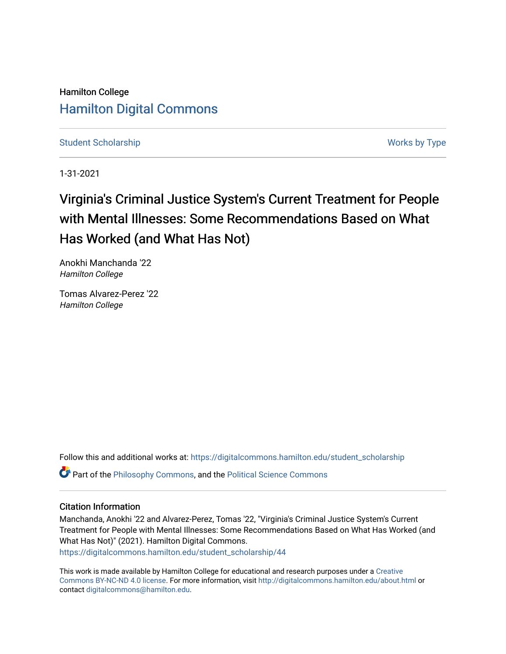Hamilton College [Hamilton Digital Commons](https://digitalcommons.hamilton.edu/) 

[Student Scholarship](https://digitalcommons.hamilton.edu/student_scholarship) Works by Type

1-31-2021

# Virginia's Criminal Justice System's Current Treatment for People with Mental Illnesses: Some Recommendations Based on What Has Worked (and What Has Not)

Anokhi Manchanda '22 Hamilton College

Tomas Alvarez-Perez '22 Hamilton College

Follow this and additional works at: [https://digitalcommons.hamilton.edu/student\\_scholarship](https://digitalcommons.hamilton.edu/student_scholarship?utm_source=digitalcommons.hamilton.edu%2Fstudent_scholarship%2F44&utm_medium=PDF&utm_campaign=PDFCoverPages) 

**P** Part of the [Philosophy Commons,](http://network.bepress.com/hgg/discipline/525?utm_source=digitalcommons.hamilton.edu%2Fstudent_scholarship%2F44&utm_medium=PDF&utm_campaign=PDFCoverPages) and the Political Science Commons

#### Citation Information

Manchanda, Anokhi '22 and Alvarez-Perez, Tomas '22, "Virginia's Criminal Justice System's Current Treatment for People with Mental Illnesses: Some Recommendations Based on What Has Worked (and What Has Not)" (2021). Hamilton Digital Commons. [https://digitalcommons.hamilton.edu/student\\_scholarship/44](https://digitalcommons.hamilton.edu/student_scholarship/44?utm_source=digitalcommons.hamilton.edu%2Fstudent_scholarship%2F44&utm_medium=PDF&utm_campaign=PDFCoverPages)

This work is made available by Hamilton College for educational and research purposes under a [Creative](https://creativecommons.org/licenses/by-nc-nd/4.0/)  [Commons BY-NC-ND 4.0 license.](https://creativecommons.org/licenses/by-nc-nd/4.0/) For more information, visit <http://digitalcommons.hamilton.edu/about.html> or contact [digitalcommons@hamilton.edu.](mailto:digitalcommons@hamilton.edu)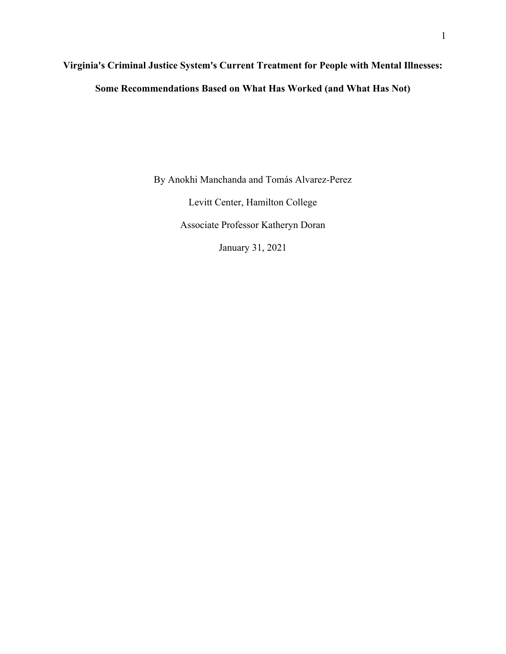# **Virginia's Criminal Justice System's Current Treatment for People with Mental Illnesses: Some Recommendations Based on What Has Worked (and What Has Not)**

By Anokhi Manchanda and Tomás Alvarez-Perez

Levitt Center, Hamilton College

Associate Professor Katheryn Doran

January 31, 2021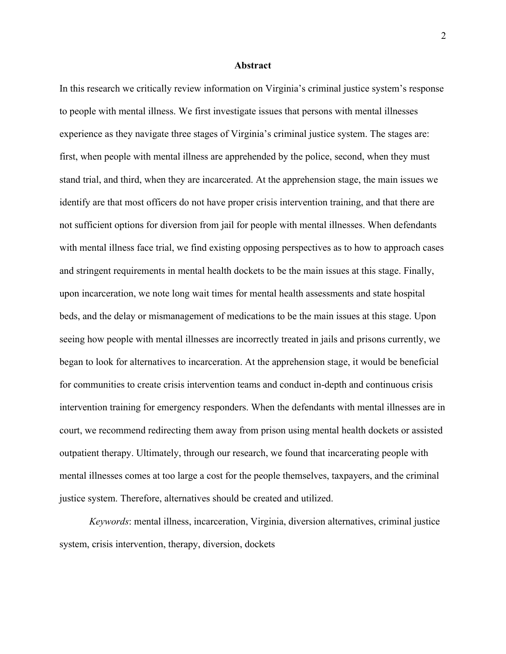#### **Abstract**

In this research we critically review information on Virginia's criminal justice system's response to people with mental illness. We first investigate issues that persons with mental illnesses experience as they navigate three stages of Virginia's criminal justice system. The stages are: first, when people with mental illness are apprehended by the police, second, when they must stand trial, and third, when they are incarcerated. At the apprehension stage, the main issues we identify are that most officers do not have proper crisis intervention training, and that there are not sufficient options for diversion from jail for people with mental illnesses. When defendants with mental illness face trial, we find existing opposing perspectives as to how to approach cases and stringent requirements in mental health dockets to be the main issues at this stage. Finally, upon incarceration, we note long wait times for mental health assessments and state hospital beds, and the delay or mismanagement of medications to be the main issues at this stage. Upon seeing how people with mental illnesses are incorrectly treated in jails and prisons currently, we began to look for alternatives to incarceration. At the apprehension stage, it would be beneficial for communities to create crisis intervention teams and conduct in-depth and continuous crisis intervention training for emergency responders. When the defendants with mental illnesses are in court, we recommend redirecting them away from prison using mental health dockets or assisted outpatient therapy. Ultimately, through our research, we found that incarcerating people with mental illnesses comes at too large a cost for the people themselves, taxpayers, and the criminal justice system. Therefore, alternatives should be created and utilized.

*Keywords*: mental illness, incarceration, Virginia, diversion alternatives, criminal justice system, crisis intervention, therapy, diversion, dockets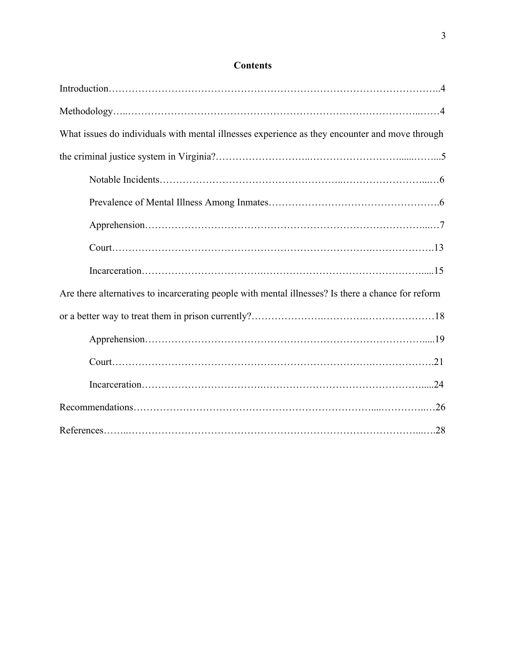### **Contents**

| What issues do individuals with mental illnesses experience as they encounter and move through     |
|----------------------------------------------------------------------------------------------------|
|                                                                                                    |
|                                                                                                    |
|                                                                                                    |
|                                                                                                    |
|                                                                                                    |
|                                                                                                    |
| Are there alternatives to incarcerating people with mental illnesses? Is there a chance for reform |
|                                                                                                    |
|                                                                                                    |
|                                                                                                    |
|                                                                                                    |
|                                                                                                    |
|                                                                                                    |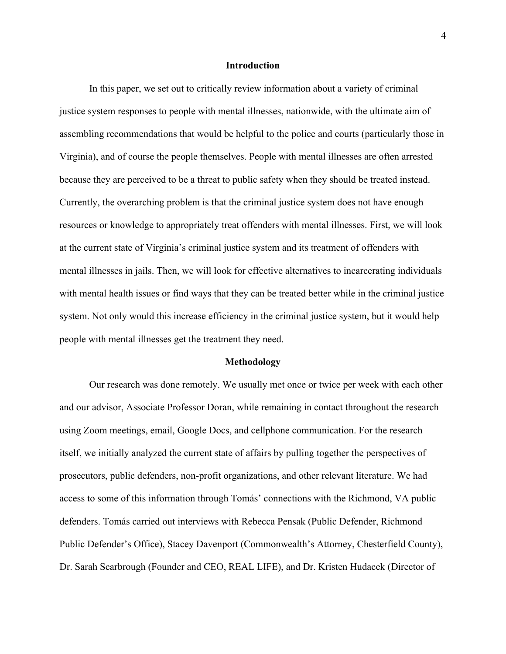#### **Introduction**

In this paper, we set out to critically review information about a variety of criminal justice system responses to people with mental illnesses, nationwide, with the ultimate aim of assembling recommendations that would be helpful to the police and courts (particularly those in Virginia), and of course the people themselves. People with mental illnesses are often arrested because they are perceived to be a threat to public safety when they should be treated instead. Currently, the overarching problem is that the criminal justice system does not have enough resources or knowledge to appropriately treat offenders with mental illnesses. First, we will look at the current state of Virginia's criminal justice system and its treatment of offenders with mental illnesses in jails. Then, we will look for effective alternatives to incarcerating individuals with mental health issues or find ways that they can be treated better while in the criminal justice system. Not only would this increase efficiency in the criminal justice system, but it would help people with mental illnesses get the treatment they need.

#### **Methodology**

Our research was done remotely. We usually met once or twice per week with each other and our advisor, Associate Professor Doran, while remaining in contact throughout the research using Zoom meetings, email, Google Docs, and cellphone communication. For the research itself, we initially analyzed the current state of affairs by pulling together the perspectives of prosecutors, public defenders, non-profit organizations, and other relevant literature. We had access to some of this information through Tomás' connections with the Richmond, VA public defenders. Tomás carried out interviews with Rebecca Pensak (Public Defender, Richmond Public Defender's Office), Stacey Davenport (Commonwealth's Attorney, Chesterfield County), Dr. Sarah Scarbrough (Founder and CEO, REAL LIFE), and Dr. Kristen Hudacek (Director of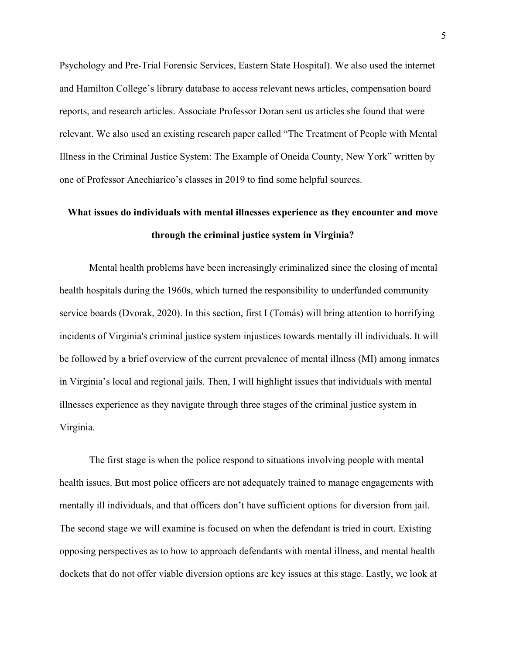Psychology and Pre-Trial Forensic Services, Eastern State Hospital). We also used the internet and Hamilton College's library database to access relevant news articles, compensation board reports, and research articles. Associate Professor Doran sent us articles she found that were relevant. We also used an existing research paper called "The Treatment of People with Mental Illness in the Criminal Justice System: The Example of Oneida County, New York" written by one of Professor Anechiarico's classes in 2019 to find some helpful sources.

## **What issues do individuals with mental illnesses experience as they encounter and move through the criminal justice system in Virginia?**

Mental health problems have been increasingly criminalized since the closing of mental health hospitals during the 1960s, which turned the responsibility to underfunded community service boards (Dvorak, 2020). In this section, first I (Tomás) will bring attention to horrifying incidents of Virginia's criminal justice system injustices towards mentally ill individuals. It will be followed by a brief overview of the current prevalence of mental illness (MI) among inmates in Virginia's local and regional jails. Then, I will highlight issues that individuals with mental illnesses experience as they navigate through three stages of the criminal justice system in Virginia.

The first stage is when the police respond to situations involving people with mental health issues. But most police officers are not adequately trained to manage engagements with mentally ill individuals, and that officers don't have sufficient options for diversion from jail. The second stage we will examine is focused on when the defendant is tried in court. Existing opposing perspectives as to how to approach defendants with mental illness, and mental health dockets that do not offer viable diversion options are key issues at this stage. Lastly, we look at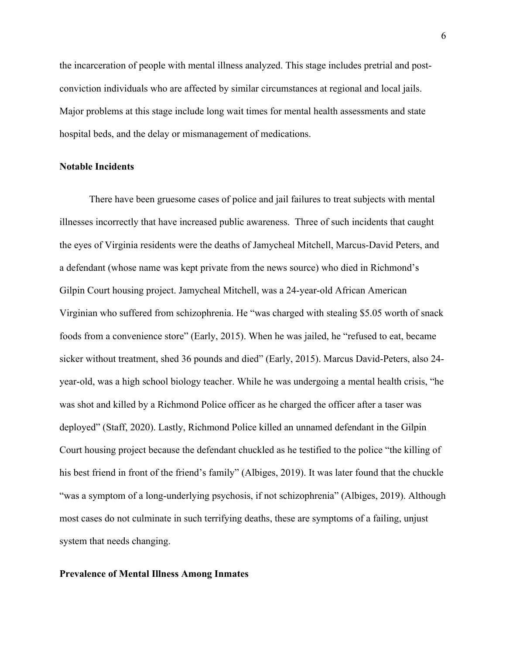the incarceration of people with mental illness analyzed. This stage includes pretrial and postconviction individuals who are affected by similar circumstances at regional and local jails. Major problems at this stage include long wait times for mental health assessments and state hospital beds, and the delay or mismanagement of medications.

#### **Notable Incidents**

There have been gruesome cases of police and jail failures to treat subjects with mental illnesses incorrectly that have increased public awareness. Three of such incidents that caught the eyes of Virginia residents were the deaths of Jamycheal Mitchell, Marcus-David Peters, and a defendant (whose name was kept private from the news source) who died in Richmond's Gilpin Court housing project. Jamycheal Mitchell, was a 24-year-old African American Virginian who suffered from schizophrenia. He "was charged with stealing \$5.05 worth of snack foods from a convenience store" (Early, 2015). When he was jailed, he "refused to eat, became sicker without treatment, shed 36 pounds and died" (Early, 2015). Marcus David-Peters, also 24 year-old, was a high school biology teacher. While he was undergoing a mental health crisis, "he was shot and killed by a Richmond Police officer as he charged the officer after a taser was deployed" (Staff, 2020). Lastly, Richmond Police killed an unnamed defendant in the Gilpin Court housing project because the defendant chuckled as he testified to the police "the killing of his best friend in front of the friend's family" (Albiges, 2019). It was later found that the chuckle "was a symptom of a long-underlying psychosis, if not schizophrenia" (Albiges, 2019). Although most cases do not culminate in such terrifying deaths, these are symptoms of a failing, unjust system that needs changing.

#### **Prevalence of Mental Illness Among Inmates**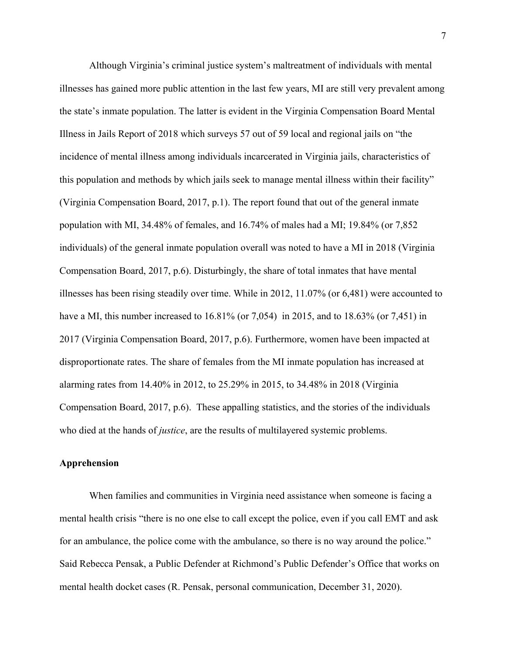Although Virginia's criminal justice system's maltreatment of individuals with mental illnesses has gained more public attention in the last few years, MI are still very prevalent among the state's inmate population. The latter is evident in the Virginia Compensation Board Mental Illness in Jails Report of 2018 which surveys 57 out of 59 local and regional jails on "the incidence of mental illness among individuals incarcerated in Virginia jails, characteristics of this population and methods by which jails seek to manage mental illness within their facility" (Virginia Compensation Board, 2017, p.1). The report found that out of the general inmate population with MI, 34.48% of females, and 16.74% of males had a MI; 19.84% (or 7,852 individuals) of the general inmate population overall was noted to have a MI in 2018 (Virginia Compensation Board, 2017, p.6). Disturbingly, the share of total inmates that have mental illnesses has been rising steadily over time. While in 2012, 11.07% (or 6,481) were accounted to have a MI, this number increased to 16.81% (or 7,054) in 2015, and to 18.63% (or 7,451) in 2017 (Virginia Compensation Board, 2017, p.6). Furthermore, women have been impacted at disproportionate rates. The share of females from the MI inmate population has increased at alarming rates from 14.40% in 2012, to 25.29% in 2015, to 34.48% in 2018 (Virginia Compensation Board, 2017, p.6). These appalling statistics, and the stories of the individuals who died at the hands of *justice*, are the results of multilayered systemic problems.

#### **Apprehension**

 When families and communities in Virginia need assistance when someone is facing a mental health crisis "there is no one else to call except the police, even if you call EMT and ask for an ambulance, the police come with the ambulance, so there is no way around the police." Said Rebecca Pensak, a Public Defender at Richmond's Public Defender's Office that works on mental health docket cases (R. Pensak, personal communication, December 31, 2020).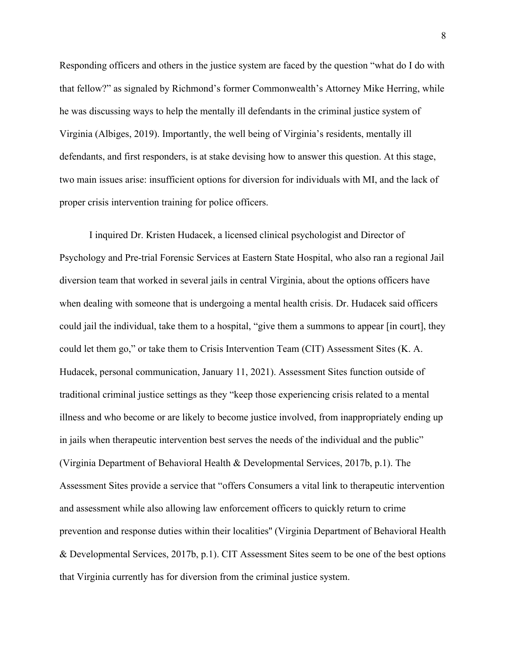Responding officers and others in the justice system are faced by the question "what do I do with that fellow?" as signaled by Richmond's former Commonwealth's Attorney Mike Herring, while he was discussing ways to help the mentally ill defendants in the criminal justice system of Virginia (Albiges, 2019). Importantly, the well being of Virginia's residents, mentally ill defendants, and first responders, is at stake devising how to answer this question. At this stage, two main issues arise: insufficient options for diversion for individuals with MI, and the lack of proper crisis intervention training for police officers.

I inquired Dr. Kristen Hudacek, a licensed clinical psychologist and Director of Psychology and Pre-trial Forensic Services at Eastern State Hospital, who also ran a regional Jail diversion team that worked in several jails in central Virginia, about the options officers have when dealing with someone that is undergoing a mental health crisis. Dr. Hudacek said officers could jail the individual, take them to a hospital, "give them a summons to appear [in court], they could let them go," or take them to Crisis Intervention Team (CIT) Assessment Sites (K. A. Hudacek, personal communication, January 11, 2021). Assessment Sites function outside of traditional criminal justice settings as they "keep those experiencing crisis related to a mental illness and who become or are likely to become justice involved, from inappropriately ending up in jails when therapeutic intervention best serves the needs of the individual and the public" (Virginia Department of Behavioral Health & Developmental Services, 2017b, p.1). The Assessment Sites provide a service that "offers Consumers a vital link to therapeutic intervention and assessment while also allowing law enforcement officers to quickly return to crime prevention and response duties within their localities'' (Virginia Department of Behavioral Health & Developmental Services, 2017b, p.1). CIT Assessment Sites seem to be one of the best options that Virginia currently has for diversion from the criminal justice system.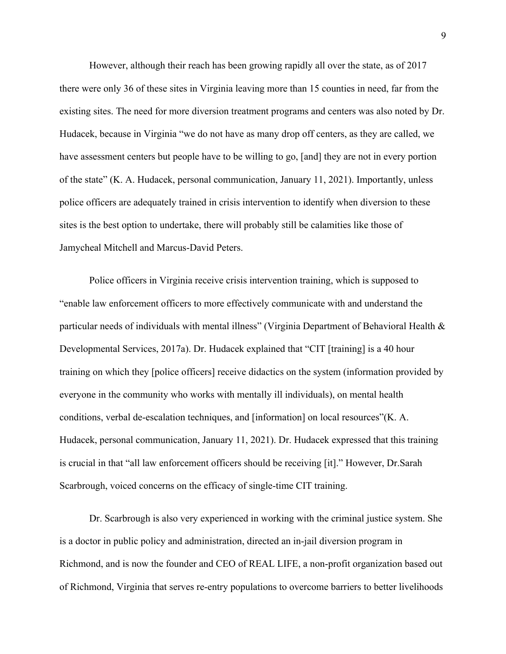However, although their reach has been growing rapidly all over the state, as of 2017 there were only 36 of these sites in Virginia leaving more than 15 counties in need, far from the existing sites. The need for more diversion treatment programs and centers was also noted by Dr. Hudacek, because in Virginia "we do not have as many drop off centers, as they are called, we have assessment centers but people have to be willing to go, [and] they are not in every portion of the state" (K. A. Hudacek, personal communication, January 11, 2021). Importantly, unless police officers are adequately trained in crisis intervention to identify when diversion to these sites is the best option to undertake, there will probably still be calamities like those of Jamycheal Mitchell and Marcus-David Peters.

Police officers in Virginia receive crisis intervention training, which is supposed to "enable law enforcement officers to more effectively communicate with and understand the particular needs of individuals with mental illness" (Virginia Department of Behavioral Health & Developmental Services, 2017a). Dr. Hudacek explained that "CIT [training] is a 40 hour training on which they [police officers] receive didactics on the system (information provided by everyone in the community who works with mentally ill individuals), on mental health conditions, verbal de-escalation techniques, and [information] on local resources"(K. A. Hudacek, personal communication, January 11, 2021). Dr. Hudacek expressed that this training is crucial in that "all law enforcement officers should be receiving [it]." However, Dr.Sarah Scarbrough, voiced concerns on the efficacy of single-time CIT training.

Dr. Scarbrough is also very experienced in working with the criminal justice system. She is a doctor in public policy and administration, directed an in-jail diversion program in Richmond, and is now the founder and CEO of REAL LIFE, a non-profit organization based out of Richmond, Virginia that serves re-entry populations to overcome barriers to better livelihoods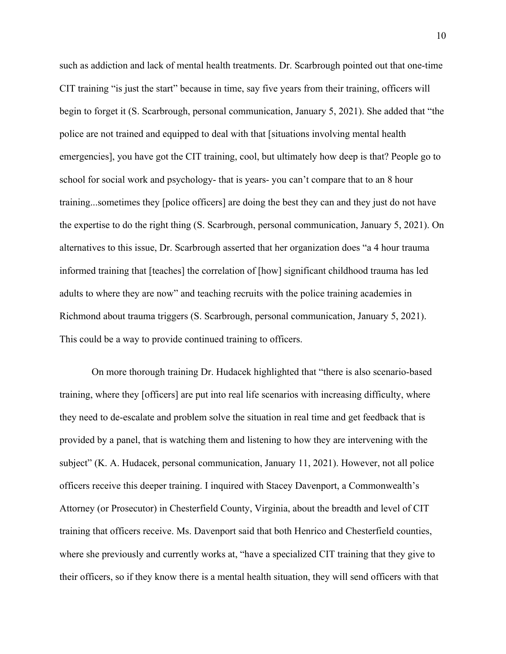such as addiction and lack of mental health treatments. Dr. Scarbrough pointed out that one-time CIT training "is just the start" because in time, say five years from their training, officers will begin to forget it (S. Scarbrough, personal communication, January 5, 2021). She added that "the police are not trained and equipped to deal with that [situations involving mental health emergencies], you have got the CIT training, cool, but ultimately how deep is that? People go to school for social work and psychology- that is years- you can't compare that to an 8 hour training...sometimes they [police officers] are doing the best they can and they just do not have the expertise to do the right thing (S. Scarbrough, personal communication, January 5, 2021). On alternatives to this issue, Dr. Scarbrough asserted that her organization does "a 4 hour trauma informed training that [teaches] the correlation of [how] significant childhood trauma has led adults to where they are now" and teaching recruits with the police training academies in Richmond about trauma triggers (S. Scarbrough, personal communication, January 5, 2021). This could be a way to provide continued training to officers.

On more thorough training Dr. Hudacek highlighted that "there is also scenario-based training, where they [officers] are put into real life scenarios with increasing difficulty, where they need to de-escalate and problem solve the situation in real time and get feedback that is provided by a panel, that is watching them and listening to how they are intervening with the subject" (K. A. Hudacek, personal communication, January 11, 2021). However, not all police officers receive this deeper training. I inquired with Stacey Davenport, a Commonwealth's Attorney (or Prosecutor) in Chesterfield County, Virginia, about the breadth and level of CIT training that officers receive. Ms. Davenport said that both Henrico and Chesterfield counties, where she previously and currently works at, "have a specialized CIT training that they give to their officers, so if they know there is a mental health situation, they will send officers with that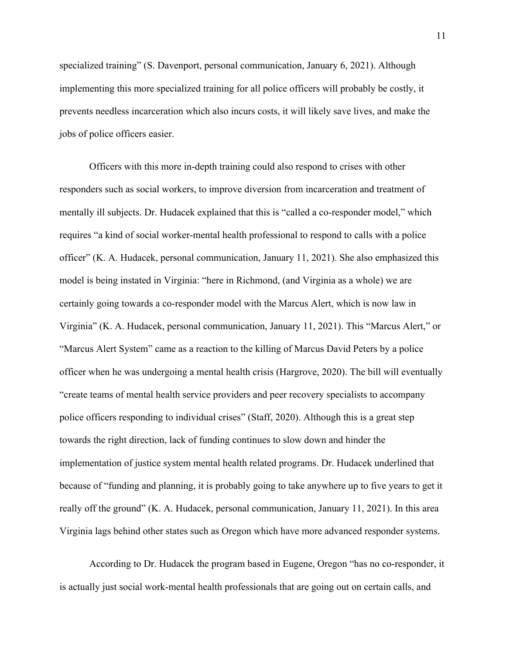specialized training" (S. Davenport, personal communication, January 6, 2021). Although implementing this more specialized training for all police officers will probably be costly, it prevents needless incarceration which also incurs costs, it will likely save lives, and make the jobs of police officers easier.

Officers with this more in-depth training could also respond to crises with other responders such as social workers, to improve diversion from incarceration and treatment of mentally ill subjects. Dr. Hudacek explained that this is "called a co-responder model," which requires "a kind of social worker-mental health professional to respond to calls with a police officer" (K. A. Hudacek, personal communication, January 11, 2021). She also emphasized this model is being instated in Virginia: "here in Richmond, (and Virginia as a whole) we are certainly going towards a co-responder model with the Marcus Alert, which is now law in Virginia" (K. A. Hudacek, personal communication, January 11, 2021). This "Marcus Alert," or "Marcus Alert System" came as a reaction to the killing of Marcus David Peters by a police officer when he was undergoing a mental health crisis (Hargrove, 2020). The bill will eventually "create teams of mental health service providers and peer recovery specialists to accompany police officers responding to individual crises" (Staff, 2020). Although this is a great step towards the right direction, lack of funding continues to slow down and hinder the implementation of justice system mental health related programs. Dr. Hudacek underlined that because of "funding and planning, it is probably going to take anywhere up to five years to get it really off the ground" (K. A. Hudacek, personal communication, January 11, 2021). In this area Virginia lags behind other states such as Oregon which have more advanced responder systems.

According to Dr. Hudacek the program based in Eugene, Oregon "has no co-responder, it is actually just social work-mental health professionals that are going out on certain calls, and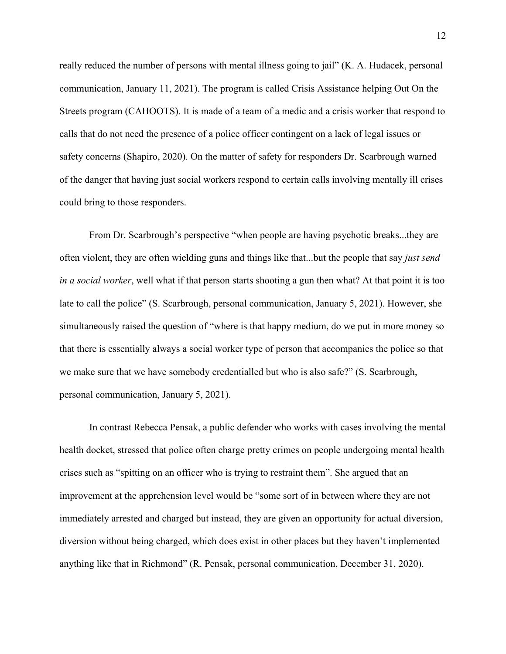really reduced the number of persons with mental illness going to jail" (K. A. Hudacek, personal communication, January 11, 2021). The program is called Crisis Assistance helping Out On the Streets program (CAHOOTS). It is made of a team of a medic and a crisis worker that respond to calls that do not need the presence of a police officer contingent on a lack of legal issues or safety concerns (Shapiro, 2020). On the matter of safety for responders Dr. Scarbrough warned of the danger that having just social workers respond to certain calls involving mentally ill crises could bring to those responders.

From Dr. Scarbrough's perspective "when people are having psychotic breaks...they are often violent, they are often wielding guns and things like that...but the people that say *just send in a social worker*, well what if that person starts shooting a gun then what? At that point it is too late to call the police" (S. Scarbrough, personal communication, January 5, 2021). However, she simultaneously raised the question of "where is that happy medium, do we put in more money so that there is essentially always a social worker type of person that accompanies the police so that we make sure that we have somebody credentialled but who is also safe?" (S. Scarbrough, personal communication, January 5, 2021).

In contrast Rebecca Pensak, a public defender who works with cases involving the mental health docket, stressed that police often charge pretty crimes on people undergoing mental health crises such as "spitting on an officer who is trying to restraint them". She argued that an improvement at the apprehension level would be "some sort of in between where they are not immediately arrested and charged but instead, they are given an opportunity for actual diversion, diversion without being charged, which does exist in other places but they haven't implemented anything like that in Richmond" (R. Pensak, personal communication, December 31, 2020).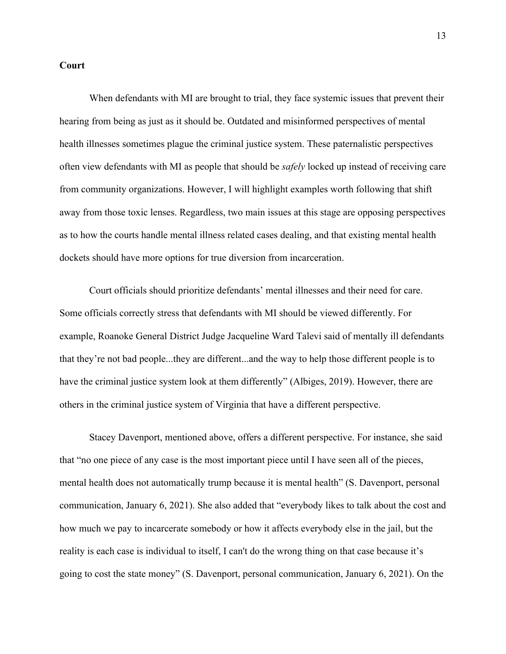#### **Court**

 When defendants with MI are brought to trial, they face systemic issues that prevent their hearing from being as just as it should be. Outdated and misinformed perspectives of mental health illnesses sometimes plague the criminal justice system. These paternalistic perspectives often view defendants with MI as people that should be *safely* locked up instead of receiving care from community organizations. However, I will highlight examples worth following that shift away from those toxic lenses. Regardless, two main issues at this stage are opposing perspectives as to how the courts handle mental illness related cases dealing, and that existing mental health dockets should have more options for true diversion from incarceration.

Court officials should prioritize defendants' mental illnesses and their need for care. Some officials correctly stress that defendants with MI should be viewed differently. For example, Roanoke General District Judge Jacqueline Ward Talevi said of mentally ill defendants that they're not bad people...they are different...and the way to help those different people is to have the criminal justice system look at them differently" (Albiges, 2019). However, there are others in the criminal justice system of Virginia that have a different perspective.

Stacey Davenport, mentioned above, offers a different perspective. For instance, she said that "no one piece of any case is the most important piece until I have seen all of the pieces, mental health does not automatically trump because it is mental health" (S. Davenport, personal communication, January 6, 2021). She also added that "everybody likes to talk about the cost and how much we pay to incarcerate somebody or how it affects everybody else in the jail, but the reality is each case is individual to itself, I can't do the wrong thing on that case because it's going to cost the state money" (S. Davenport, personal communication, January 6, 2021). On the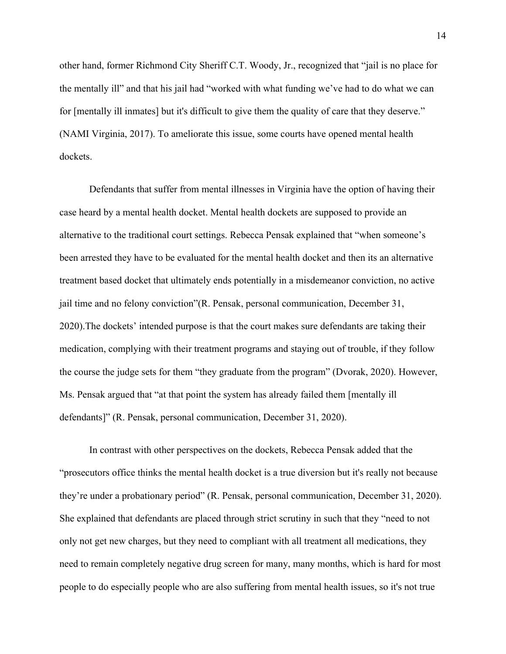other hand, former Richmond City Sheriff C.T. Woody, Jr., recognized that "jail is no place for the mentally ill" and that his jail had "worked with what funding we've had to do what we can for [mentally ill inmates] but it's difficult to give them the quality of care that they deserve." (NAMI Virginia, 2017). To ameliorate this issue, some courts have opened mental health dockets.

Defendants that suffer from mental illnesses in Virginia have the option of having their case heard by a mental health docket. Mental health dockets are supposed to provide an alternative to the traditional court settings. Rebecca Pensak explained that "when someone's been arrested they have to be evaluated for the mental health docket and then its an alternative treatment based docket that ultimately ends potentially in a misdemeanor conviction, no active jail time and no felony conviction"(R. Pensak, personal communication, December 31, 2020).The dockets' intended purpose is that the court makes sure defendants are taking their medication, complying with their treatment programs and staying out of trouble, if they follow the course the judge sets for them "they graduate from the program" (Dvorak, 2020). However, Ms. Pensak argued that "at that point the system has already failed them [mentally ill defendants]" (R. Pensak, personal communication, December 31, 2020).

In contrast with other perspectives on the dockets, Rebecca Pensak added that the "prosecutors office thinks the mental health docket is a true diversion but it's really not because they're under a probationary period" (R. Pensak, personal communication, December 31, 2020). She explained that defendants are placed through strict scrutiny in such that they "need to not only not get new charges, but they need to compliant with all treatment all medications, they need to remain completely negative drug screen for many, many months, which is hard for most people to do especially people who are also suffering from mental health issues, so it's not true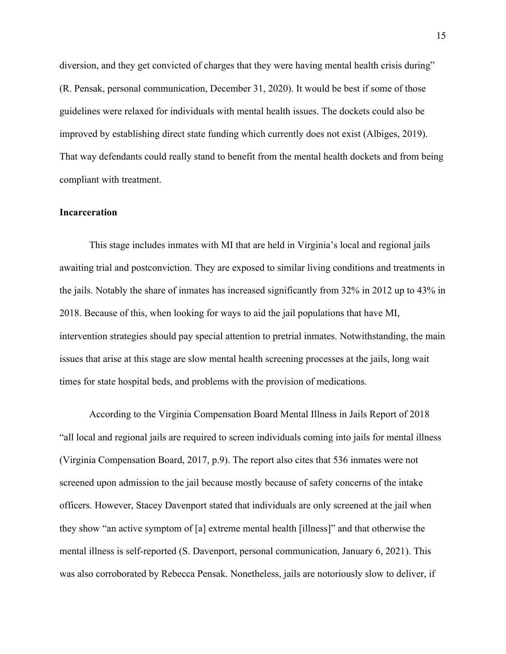diversion, and they get convicted of charges that they were having mental health crisis during" (R. Pensak, personal communication, December 31, 2020). It would be best if some of those guidelines were relaxed for individuals with mental health issues. The dockets could also be improved by establishing direct state funding which currently does not exist (Albiges, 2019). That way defendants could really stand to benefit from the mental health dockets and from being compliant with treatment.

#### **Incarceration**

This stage includes inmates with MI that are held in Virginia's local and regional jails awaiting trial and postconviction. They are exposed to similar living conditions and treatments in the jails. Notably the share of inmates has increased significantly from 32% in 2012 up to 43% in 2018. Because of this, when looking for ways to aid the jail populations that have MI, intervention strategies should pay special attention to pretrial inmates. Notwithstanding, the main issues that arise at this stage are slow mental health screening processes at the jails, long wait times for state hospital beds, and problems with the provision of medications.

According to the Virginia Compensation Board Mental Illness in Jails Report of 2018 "all local and regional jails are required to screen individuals coming into jails for mental illness (Virginia Compensation Board, 2017, p.9). The report also cites that 536 inmates were not screened upon admission to the jail because mostly because of safety concerns of the intake officers. However, Stacey Davenport stated that individuals are only screened at the jail when they show "an active symptom of [a] extreme mental health [illness]" and that otherwise the mental illness is self-reported (S. Davenport, personal communication, January 6, 2021). This was also corroborated by Rebecca Pensak. Nonetheless, jails are notoriously slow to deliver, if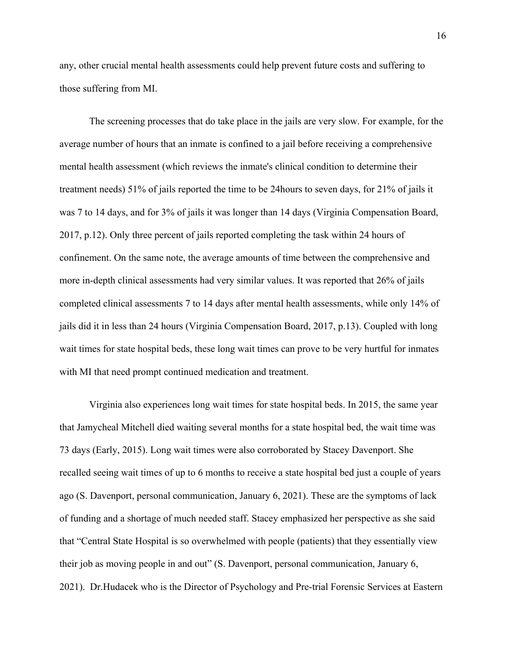any, other crucial mental health assessments could help prevent future costs and suffering to those suffering from MI.

The screening processes that do take place in the jails are very slow. For example, for the average number of hours that an inmate is confined to a jail before receiving a comprehensive mental health assessment (which reviews the inmate's clinical condition to determine their treatment needs) 51% of jails reported the time to be 24hours to seven days, for 21% of jails it was 7 to 14 days, and for 3% of jails it was longer than 14 days (Virginia Compensation Board, 2017, p.12). Only three percent of jails reported completing the task within 24 hours of confinement. On the same note, the average amounts of time between the comprehensive and more in-depth clinical assessments had very similar values. It was reported that 26% of jails completed clinical assessments 7 to 14 days after mental health assessments, while only 14% of jails did it in less than 24 hours (Virginia Compensation Board, 2017, p.13). Coupled with long wait times for state hospital beds, these long wait times can prove to be very hurtful for inmates with MI that need prompt continued medication and treatment.

Virginia also experiences long wait times for state hospital beds. In 2015, the same year that Jamycheal Mitchell died waiting several months for a state hospital bed, the wait time was 73 days (Early, 2015). Long wait times were also corroborated by Stacey Davenport. She recalled seeing wait times of up to 6 months to receive a state hospital bed just a couple of years ago (S. Davenport, personal communication, January 6, 2021). These are the symptoms of lack of funding and a shortage of much needed staff. Stacey emphasized her perspective as she said that "Central State Hospital is so overwhelmed with people (patients) that they essentially view their job as moving people in and out" (S. Davenport, personal communication, January 6, 2021). Dr.Hudacek who is the Director of Psychology and Pre-trial Forensic Services at Eastern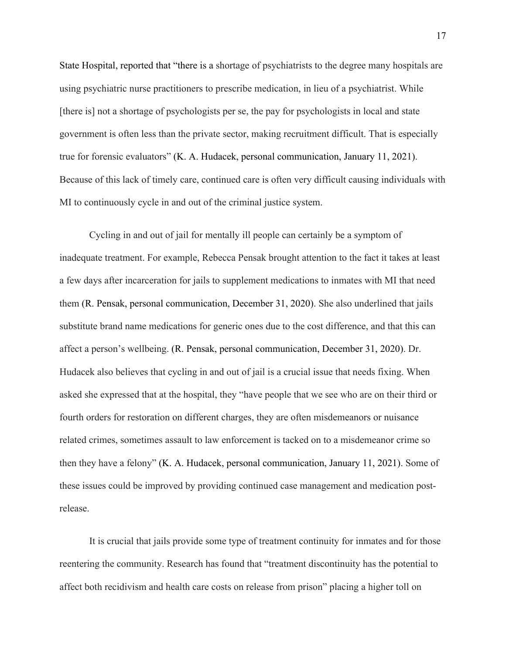State Hospital, reported that "there is a shortage of psychiatrists to the degree many hospitals are using psychiatric nurse practitioners to prescribe medication, in lieu of a psychiatrist. While [there is] not a shortage of psychologists per se, the pay for psychologists in local and state government is often less than the private sector, making recruitment difficult. That is especially true for forensic evaluators" (K. A. Hudacek, personal communication, January 11, 2021). Because of this lack of timely care, continued care is often very difficult causing individuals with MI to continuously cycle in and out of the criminal justice system.

 Cycling in and out of jail for mentally ill people can certainly be a symptom of inadequate treatment. For example, Rebecca Pensak brought attention to the fact it takes at least a few days after incarceration for jails to supplement medications to inmates with MI that need them (R. Pensak, personal communication, December 31, 2020). She also underlined that jails substitute brand name medications for generic ones due to the cost difference, and that this can affect a person's wellbeing. (R. Pensak, personal communication, December 31, 2020). Dr. Hudacek also believes that cycling in and out of jail is a crucial issue that needs fixing. When asked she expressed that at the hospital, they "have people that we see who are on their third or fourth orders for restoration on different charges, they are often misdemeanors or nuisance related crimes, sometimes assault to law enforcement is tacked on to a misdemeanor crime so then they have a felony" (K. A. Hudacek, personal communication, January 11, 2021). Some of these issues could be improved by providing continued case management and medication postrelease.

It is crucial that jails provide some type of treatment continuity for inmates and for those reentering the community. Research has found that "treatment discontinuity has the potential to affect both recidivism and health care costs on release from prison" placing a higher toll on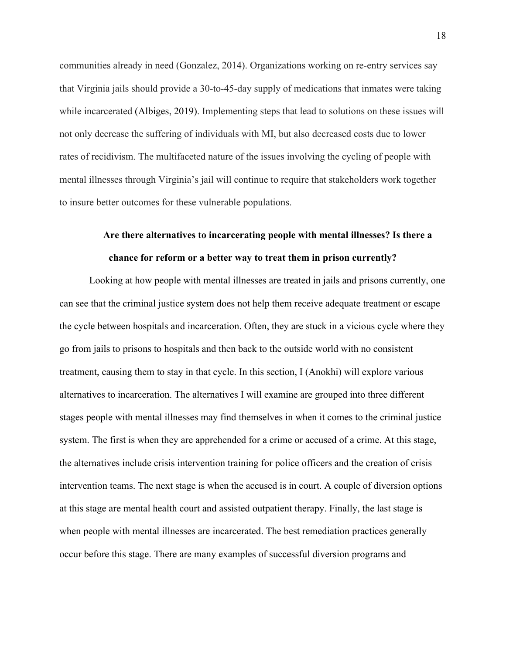communities already in need (Gonzalez, 2014). Organizations working on re-entry services say that Virginia jails should provide a 30-to-45-day supply of medications that inmates were taking while incarcerated (Albiges, 2019). Implementing steps that lead to solutions on these issues will not only decrease the suffering of individuals with MI, but also decreased costs due to lower rates of recidivism. The multifaceted nature of the issues involving the cycling of people with mental illnesses through Virginia's jail will continue to require that stakeholders work together to insure better outcomes for these vulnerable populations.

### **Are there alternatives to incarcerating people with mental illnesses? Is there a chance for reform or a better way to treat them in prison currently?**

Looking at how people with mental illnesses are treated in jails and prisons currently, one can see that the criminal justice system does not help them receive adequate treatment or escape the cycle between hospitals and incarceration. Often, they are stuck in a vicious cycle where they go from jails to prisons to hospitals and then back to the outside world with no consistent treatment, causing them to stay in that cycle. In this section, I (Anokhi) will explore various alternatives to incarceration. The alternatives I will examine are grouped into three different stages people with mental illnesses may find themselves in when it comes to the criminal justice system. The first is when they are apprehended for a crime or accused of a crime. At this stage, the alternatives include crisis intervention training for police officers and the creation of crisis intervention teams. The next stage is when the accused is in court. A couple of diversion options at this stage are mental health court and assisted outpatient therapy. Finally, the last stage is when people with mental illnesses are incarcerated. The best remediation practices generally occur before this stage. There are many examples of successful diversion programs and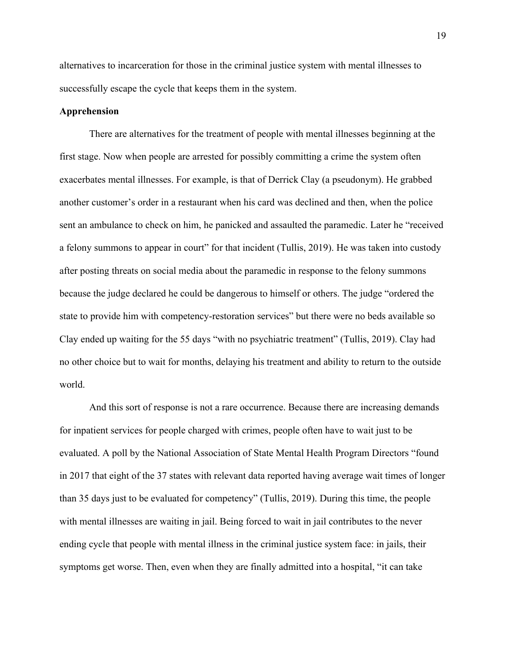alternatives to incarceration for those in the criminal justice system with mental illnesses to successfully escape the cycle that keeps them in the system.

#### **Apprehension**

There are alternatives for the treatment of people with mental illnesses beginning at the first stage. Now when people are arrested for possibly committing a crime the system often exacerbates mental illnesses. For example, is that of Derrick Clay (a pseudonym). He grabbed another customer's order in a restaurant when his card was declined and then, when the police sent an ambulance to check on him, he panicked and assaulted the paramedic. Later he "received a felony summons to appear in court" for that incident (Tullis, 2019). He was taken into custody after posting threats on social media about the paramedic in response to the felony summons because the judge declared he could be dangerous to himself or others. The judge "ordered the state to provide him with competency-restoration services" but there were no beds available so Clay ended up waiting for the 55 days "with no psychiatric treatment" (Tullis, 2019). Clay had no other choice but to wait for months, delaying his treatment and ability to return to the outside world.

And this sort of response is not a rare occurrence. Because there are increasing demands for inpatient services for people charged with crimes, people often have to wait just to be evaluated. A poll by the National Association of State Mental Health Program Directors "found in 2017 that eight of the 37 states with relevant data reported having average wait times of longer than 35 days just to be evaluated for competency" (Tullis, 2019). During this time, the people with mental illnesses are waiting in jail. Being forced to wait in jail contributes to the never ending cycle that people with mental illness in the criminal justice system face: in jails, their symptoms get worse. Then, even when they are finally admitted into a hospital, "it can take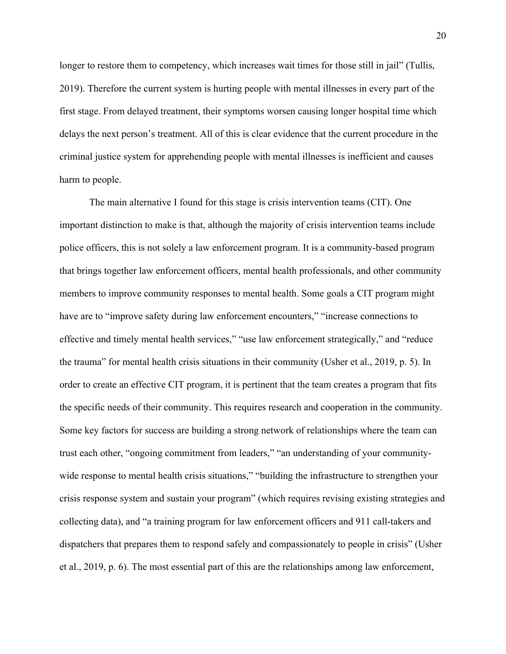longer to restore them to competency, which increases wait times for those still in jail" (Tullis, 2019). Therefore the current system is hurting people with mental illnesses in every part of the first stage. From delayed treatment, their symptoms worsen causing longer hospital time which delays the next person's treatment. All of this is clear evidence that the current procedure in the criminal justice system for apprehending people with mental illnesses is inefficient and causes harm to people.

The main alternative I found for this stage is crisis intervention teams (CIT). One important distinction to make is that, although the majority of crisis intervention teams include police officers, this is not solely a law enforcement program. It is a community-based program that brings together law enforcement officers, mental health professionals, and other community members to improve community responses to mental health. Some goals a CIT program might have are to "improve safety during law enforcement encounters," "increase connections to effective and timely mental health services," "use law enforcement strategically," and "reduce the trauma" for mental health crisis situations in their community (Usher et al., 2019, p. 5). In order to create an effective CIT program, it is pertinent that the team creates a program that fits the specific needs of their community. This requires research and cooperation in the community. Some key factors for success are building a strong network of relationships where the team can trust each other, "ongoing commitment from leaders," "an understanding of your communitywide response to mental health crisis situations," "building the infrastructure to strengthen your crisis response system and sustain your program" (which requires revising existing strategies and collecting data), and "a training program for law enforcement officers and 911 call-takers and dispatchers that prepares them to respond safely and compassionately to people in crisis" (Usher et al., 2019, p. 6). The most essential part of this are the relationships among law enforcement,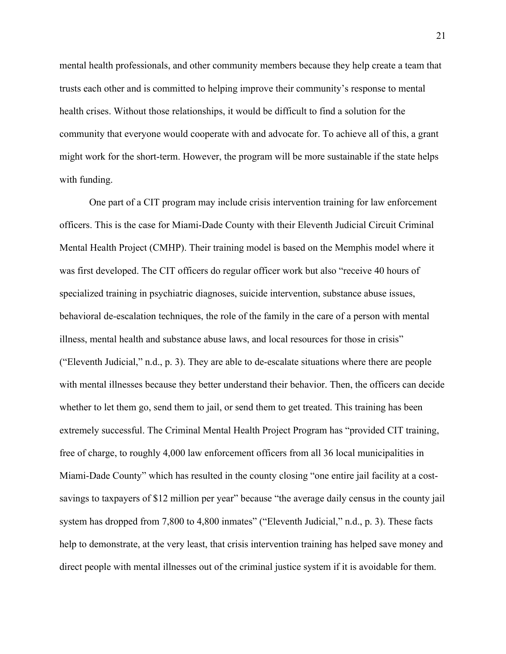mental health professionals, and other community members because they help create a team that trusts each other and is committed to helping improve their community's response to mental health crises. Without those relationships, it would be difficult to find a solution for the community that everyone would cooperate with and advocate for. To achieve all of this, a grant might work for the short-term. However, the program will be more sustainable if the state helps with funding.

One part of a CIT program may include crisis intervention training for law enforcement officers. This is the case for Miami-Dade County with their Eleventh Judicial Circuit Criminal Mental Health Project (CMHP). Their training model is based on the Memphis model where it was first developed. The CIT officers do regular officer work but also "receive 40 hours of specialized training in psychiatric diagnoses, suicide intervention, substance abuse issues, behavioral de-escalation techniques, the role of the family in the care of a person with mental illness, mental health and substance abuse laws, and local resources for those in crisis" ("Eleventh Judicial," n.d., p. 3). They are able to de-escalate situations where there are people with mental illnesses because they better understand their behavior. Then, the officers can decide whether to let them go, send them to jail, or send them to get treated. This training has been extremely successful. The Criminal Mental Health Project Program has "provided CIT training, free of charge, to roughly 4,000 law enforcement officers from all 36 local municipalities in Miami-Dade County" which has resulted in the county closing "one entire jail facility at a costsavings to taxpayers of \$12 million per year" because "the average daily census in the county jail system has dropped from 7,800 to 4,800 inmates" ("Eleventh Judicial," n.d., p. 3). These facts help to demonstrate, at the very least, that crisis intervention training has helped save money and direct people with mental illnesses out of the criminal justice system if it is avoidable for them.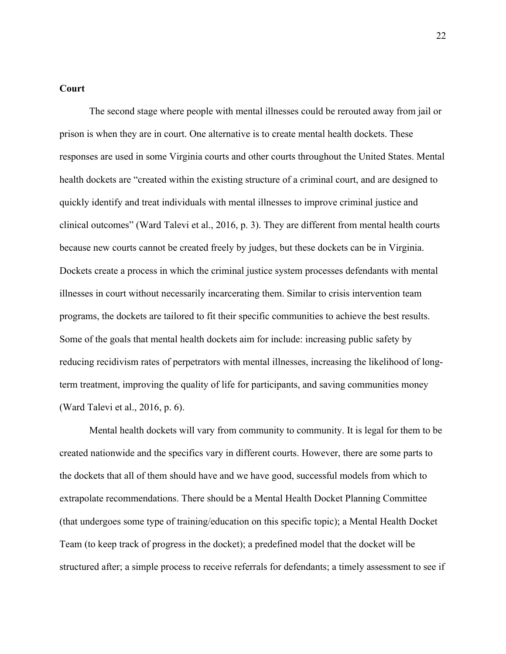#### **Court**

The second stage where people with mental illnesses could be rerouted away from jail or prison is when they are in court. One alternative is to create mental health dockets. These responses are used in some Virginia courts and other courts throughout the United States. Mental health dockets are "created within the existing structure of a criminal court, and are designed to quickly identify and treat individuals with mental illnesses to improve criminal justice and clinical outcomes" (Ward Talevi et al., 2016, p. 3). They are different from mental health courts because new courts cannot be created freely by judges, but these dockets can be in Virginia. Dockets create a process in which the criminal justice system processes defendants with mental illnesses in court without necessarily incarcerating them. Similar to crisis intervention team programs, the dockets are tailored to fit their specific communities to achieve the best results. Some of the goals that mental health dockets aim for include: increasing public safety by reducing recidivism rates of perpetrators with mental illnesses, increasing the likelihood of longterm treatment, improving the quality of life for participants, and saving communities money (Ward Talevi et al., 2016, p. 6).

Mental health dockets will vary from community to community. It is legal for them to be created nationwide and the specifics vary in different courts. However, there are some parts to the dockets that all of them should have and we have good, successful models from which to extrapolate recommendations. There should be a Mental Health Docket Planning Committee (that undergoes some type of training/education on this specific topic); a Mental Health Docket Team (to keep track of progress in the docket); a predefined model that the docket will be structured after; a simple process to receive referrals for defendants; a timely assessment to see if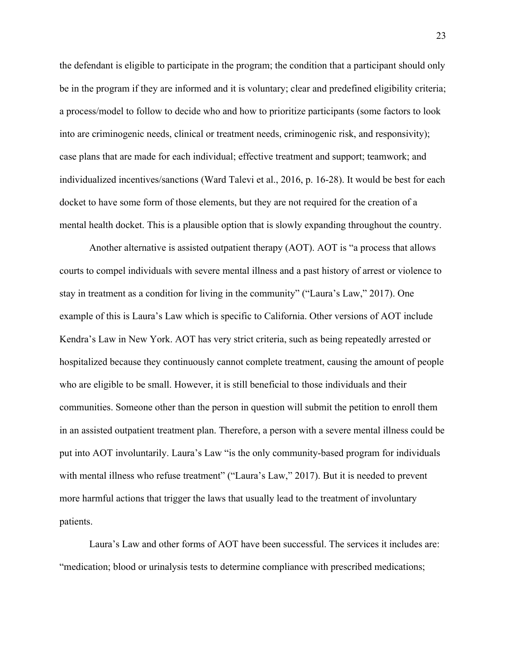the defendant is eligible to participate in the program; the condition that a participant should only be in the program if they are informed and it is voluntary; clear and predefined eligibility criteria; a process/model to follow to decide who and how to prioritize participants (some factors to look into are criminogenic needs, clinical or treatment needs, criminogenic risk, and responsivity); case plans that are made for each individual; effective treatment and support; teamwork; and individualized incentives/sanctions (Ward Talevi et al., 2016, p. 16-28). It would be best for each docket to have some form of those elements, but they are not required for the creation of a mental health docket. This is a plausible option that is slowly expanding throughout the country.

Another alternative is assisted outpatient therapy (AOT). AOT is "a process that allows courts to compel individuals with severe mental illness and a past history of arrest or violence to stay in treatment as a condition for living in the community" ("Laura's Law," 2017). One example of this is Laura's Law which is specific to California. Other versions of AOT include Kendra's Law in New York. AOT has very strict criteria, such as being repeatedly arrested or hospitalized because they continuously cannot complete treatment, causing the amount of people who are eligible to be small. However, it is still beneficial to those individuals and their communities. Someone other than the person in question will submit the petition to enroll them in an assisted outpatient treatment plan. Therefore, a person with a severe mental illness could be put into AOT involuntarily. Laura's Law "is the only community-based program for individuals with mental illness who refuse treatment" ("Laura's Law," 2017). But it is needed to prevent more harmful actions that trigger the laws that usually lead to the treatment of involuntary patients.

Laura's Law and other forms of AOT have been successful. The services it includes are: "medication; blood or urinalysis tests to determine compliance with prescribed medications;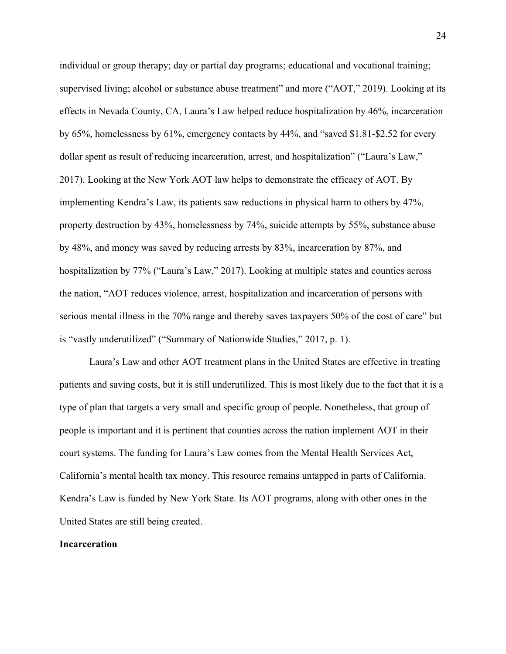individual or group therapy; day or partial day programs; educational and vocational training; supervised living; alcohol or substance abuse treatment" and more ("AOT," 2019). Looking at its effects in Nevada County, CA, Laura's Law helped reduce hospitalization by 46%, incarceration by 65%, homelessness by 61%, emergency contacts by 44%, and "saved \$1.81-\$2.52 for every dollar spent as result of reducing incarceration, arrest, and hospitalization" ("Laura's Law," 2017). Looking at the New York AOT law helps to demonstrate the efficacy of AOT. By implementing Kendra's Law, its patients saw reductions in physical harm to others by 47%, property destruction by 43%, homelessness by 74%, suicide attempts by 55%, substance abuse by 48%, and money was saved by reducing arrests by 83%, incarceration by 87%, and hospitalization by 77% ("Laura's Law," 2017). Looking at multiple states and counties across the nation, "AOT reduces violence, arrest, hospitalization and incarceration of persons with serious mental illness in the 70% range and thereby saves taxpayers 50% of the cost of care" but is "vastly underutilized" ("Summary of Nationwide Studies," 2017, p. 1).

Laura's Law and other AOT treatment plans in the United States are effective in treating patients and saving costs, but it is still underutilized. This is most likely due to the fact that it is a type of plan that targets a very small and specific group of people. Nonetheless, that group of people is important and it is pertinent that counties across the nation implement AOT in their court systems. The funding for Laura's Law comes from the Mental Health Services Act, California's mental health tax money. This resource remains untapped in parts of California. Kendra's Law is funded by New York State. Its AOT programs, along with other ones in the United States are still being created.

#### **Incarceration**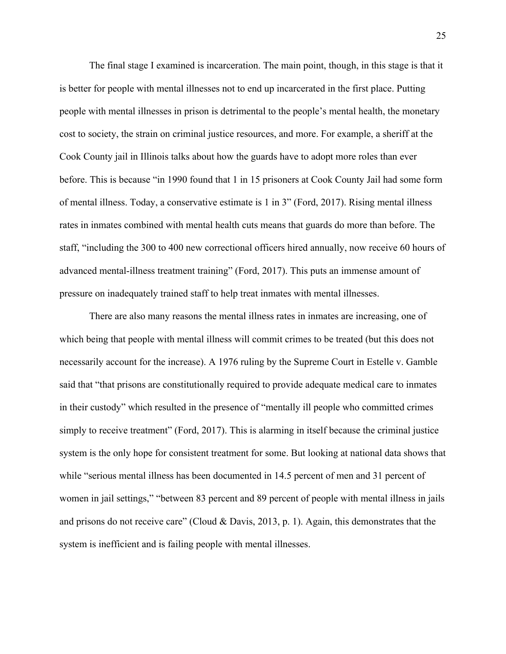The final stage I examined is incarceration. The main point, though, in this stage is that it is better for people with mental illnesses not to end up incarcerated in the first place. Putting people with mental illnesses in prison is detrimental to the people's mental health, the monetary cost to society, the strain on criminal justice resources, and more. For example, a sheriff at the Cook County jail in Illinois talks about how the guards have to adopt more roles than ever before. This is because "in 1990 found that 1 in 15 prisoners at Cook County Jail had some form of mental illness. Today, a conservative estimate is 1 in 3" (Ford, 2017). Rising mental illness rates in inmates combined with mental health cuts means that guards do more than before. The staff, "including the 300 to 400 new correctional officers hired annually, now receive 60 hours of advanced mental-illness treatment training" (Ford, 2017). This puts an immense amount of pressure on inadequately trained staff to help treat inmates with mental illnesses.

There are also many reasons the mental illness rates in inmates are increasing, one of which being that people with mental illness will commit crimes to be treated (but this does not necessarily account for the increase). A 1976 ruling by the Supreme Court in Estelle v. Gamble said that "that prisons are constitutionally required to provide adequate medical care to inmates in their custody" which resulted in the presence of "mentally ill people who committed crimes simply to receive treatment" (Ford, 2017). This is alarming in itself because the criminal justice system is the only hope for consistent treatment for some. But looking at national data shows that while "serious mental illness has been documented in 14.5 percent of men and 31 percent of women in jail settings," "between 83 percent and 89 percent of people with mental illness in jails and prisons do not receive care" (Cloud & Davis, 2013, p. 1). Again, this demonstrates that the system is inefficient and is failing people with mental illnesses.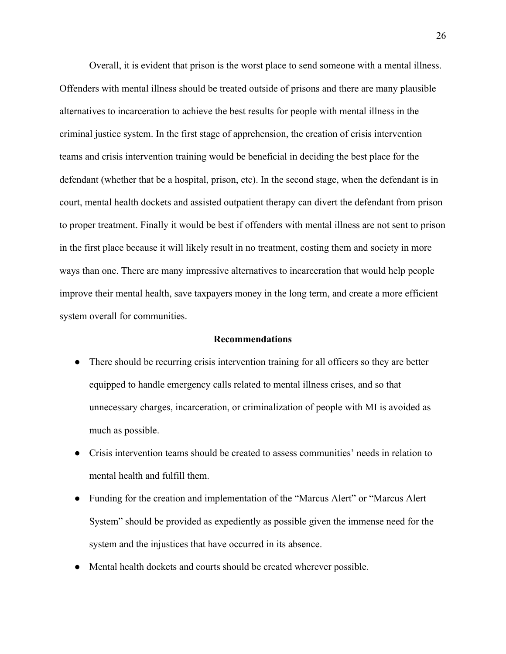Overall, it is evident that prison is the worst place to send someone with a mental illness. Offenders with mental illness should be treated outside of prisons and there are many plausible alternatives to incarceration to achieve the best results for people with mental illness in the criminal justice system. In the first stage of apprehension, the creation of crisis intervention teams and crisis intervention training would be beneficial in deciding the best place for the defendant (whether that be a hospital, prison, etc). In the second stage, when the defendant is in court, mental health dockets and assisted outpatient therapy can divert the defendant from prison to proper treatment. Finally it would be best if offenders with mental illness are not sent to prison in the first place because it will likely result in no treatment, costing them and society in more ways than one. There are many impressive alternatives to incarceration that would help people improve their mental health, save taxpayers money in the long term, and create a more efficient system overall for communities.

#### **Recommendations**

- There should be recurring crisis intervention training for all officers so they are better equipped to handle emergency calls related to mental illness crises, and so that unnecessary charges, incarceration, or criminalization of people with MI is avoided as much as possible.
- Crisis intervention teams should be created to assess communities' needs in relation to mental health and fulfill them.
- Funding for the creation and implementation of the "Marcus Alert" or "Marcus Alert" System" should be provided as expediently as possible given the immense need for the system and the injustices that have occurred in its absence.
- Mental health dockets and courts should be created wherever possible.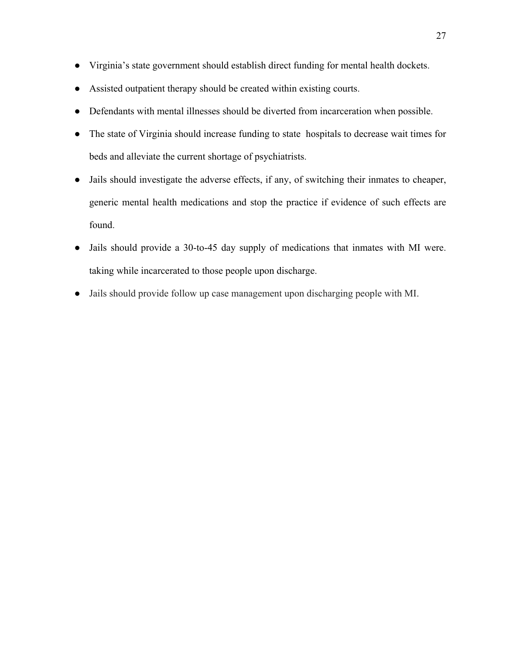- Virginia's state government should establish direct funding for mental health dockets.
- Assisted outpatient therapy should be created within existing courts.
- Defendants with mental illnesses should be diverted from incarceration when possible.
- The state of Virginia should increase funding to state hospitals to decrease wait times for beds and alleviate the current shortage of psychiatrists.
- Jails should investigate the adverse effects, if any, of switching their inmates to cheaper, generic mental health medications and stop the practice if evidence of such effects are found.
- Jails should provide a 30-to-45 day supply of medications that inmates with MI were. taking while incarcerated to those people upon discharge.
- Jails should provide follow up case management upon discharging people with MI.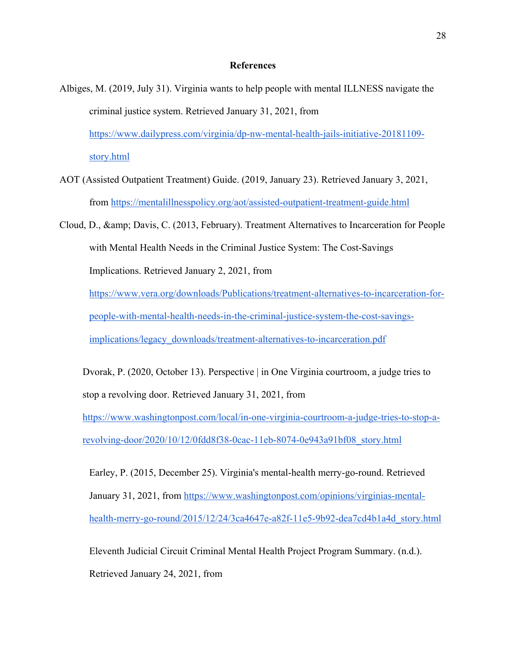#### **References**

- Albiges, M. (2019, July 31). Virginia wants to help people with mental ILLNESS navigate the criminal justice system. Retrieved January 31, 2021, from https://www.dailypress.com/virginia/dp-nw-mental-health-jails-initiative-20181109 story.html
- AOT (Assisted Outpatient Treatment) Guide. (2019, January 23). Retrieved January 3, 2021, from https://mentalillnesspolicy.org/aot/assisted-outpatient-treatment-guide.html
- Cloud, D., & amp; Davis, C. (2013, February). Treatment Alternatives to Incarceration for People with Mental Health Needs in the Criminal Justice System: The Cost-Savings Implications. Retrieved January 2, 2021, from https://www.vera.org/downloads/Publications/treatment-alternatives-to-incarceration-forpeople-with-mental-health-needs-in-the-criminal-justice-system-the-cost-savings-

implications/legacy\_downloads/treatment-alternatives-to-incarceration.pdf

Dvorak, P. (2020, October 13). Perspective | in One Virginia courtroom, a judge tries to stop a revolving door. Retrieved January 31, 2021, from

https://www.washingtonpost.com/local/in-one-virginia-courtroom-a-judge-tries-to-stop-arevolving-door/2020/10/12/0fdd8f38-0cac-11eb-8074-0e943a91bf08\_story.html

Earley, P. (2015, December 25). Virginia's mental-health merry-go-round. Retrieved January 31, 2021, from https://www.washingtonpost.com/opinions/virginias-mentalhealth-merry-go-round/2015/12/24/3ca4647e-a82f-11e5-9b92-dea7cd4b1a4d\_story.html

Eleventh Judicial Circuit Criminal Mental Health Project Program Summary. (n.d.). Retrieved January 24, 2021, from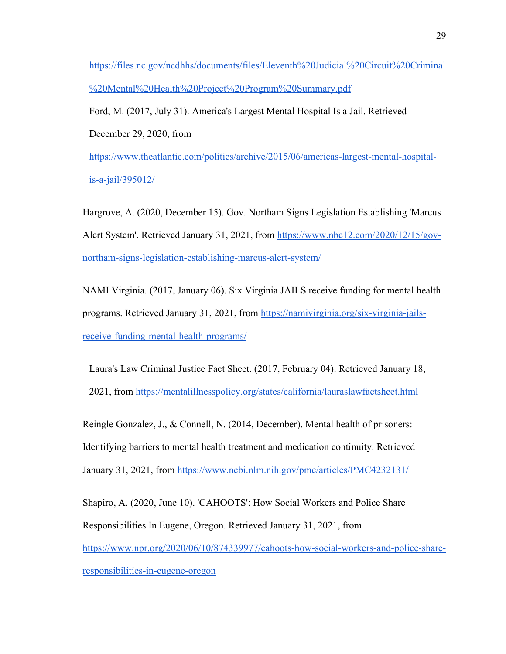https://files.nc.gov/ncdhhs/documents/files/Eleventh%20Judicial%20Circuit%20Criminal %20Mental%20Health%20Project%20Program%20Summary.pdf

Ford, M. (2017, July 31). America's Largest Mental Hospital Is a Jail. Retrieved December 29, 2020, from

https://www.theatlantic.com/politics/archive/2015/06/americas-largest-mental-hospitalis-a-jail/395012/

Hargrove, A. (2020, December 15). Gov. Northam Signs Legislation Establishing 'Marcus Alert System'. Retrieved January 31, 2021, from https://www.nbc12.com/2020/12/15/govnortham-signs-legislation-establishing-marcus-alert-system/

NAMI Virginia. (2017, January 06). Six Virginia JAILS receive funding for mental health programs. Retrieved January 31, 2021, from https://namivirginia.org/six-virginia-jailsreceive-funding-mental-health-programs/

Laura's Law Criminal Justice Fact Sheet. (2017, February 04). Retrieved January 18, 2021, from https://mentalillnesspolicy.org/states/california/lauraslawfactsheet.html

Reingle Gonzalez, J., & Connell, N. (2014, December). Mental health of prisoners: Identifying barriers to mental health treatment and medication continuity. Retrieved January 31, 2021, from https://www.ncbi.nlm.nih.gov/pmc/articles/PMC4232131/

Shapiro, A. (2020, June 10). 'CAHOOTS': How Social Workers and Police Share Responsibilities In Eugene, Oregon. Retrieved January 31, 2021, from https://www.npr.org/2020/06/10/874339977/cahoots-how-social-workers-and-police-shareresponsibilities-in-eugene-oregon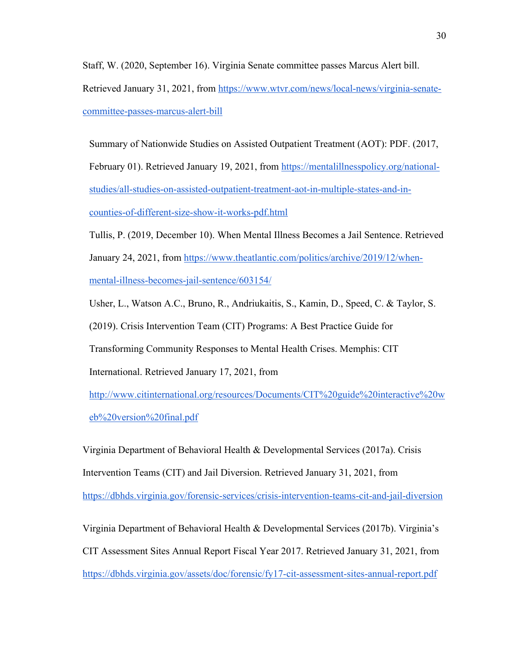Staff, W. (2020, September 16). Virginia Senate committee passes Marcus Alert bill. Retrieved January 31, 2021, from https://www.wtvr.com/news/local-news/virginia-senatecommittee-passes-marcus-alert-bill

Summary of Nationwide Studies on Assisted Outpatient Treatment (AOT): PDF. (2017, February 01). Retrieved January 19, 2021, from https://mentalillnesspolicy.org/nationalstudies/all-studies-on-assisted-outpatient-treatment-aot-in-multiple-states-and-incounties-of-different-size-show-it-works-pdf.html

Tullis, P. (2019, December 10). When Mental Illness Becomes a Jail Sentence. Retrieved January 24, 2021, from https://www.theatlantic.com/politics/archive/2019/12/whenmental-illness-becomes-jail-sentence/603154/

Usher, L., Watson A.C., Bruno, R., Andriukaitis, S., Kamin, D., Speed, C. & Taylor, S.

(2019). Crisis Intervention Team (CIT) Programs: A Best Practice Guide for

Transforming Community Responses to Mental Health Crises. Memphis: CIT

International. Retrieved January 17, 2021, from

http://www.citinternational.org/resources/Documents/CIT%20guide%20interactive%20w eb%20version%20final.pdf

Virginia Department of Behavioral Health & Developmental Services (2017a). Crisis Intervention Teams (CIT) and Jail Diversion. Retrieved January 31, 2021, from https://dbhds.virginia.gov/forensic-services/crisis-intervention-teams-cit-and-jail-diversion

Virginia Department of Behavioral Health & Developmental Services (2017b). Virginia's CIT Assessment Sites Annual Report Fiscal Year 2017. Retrieved January 31, 2021, from https://dbhds.virginia.gov/assets/doc/forensic/fy17-cit-assessment-sites-annual-report.pdf